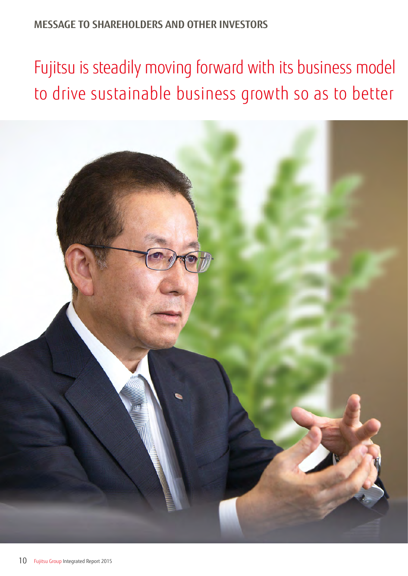# **MESSAGE TO SHAREHOLDERS AND OTHER INVESTORS**

Fujitsu is steadily moving forward with its business model to drive sustainable business growth so as to better

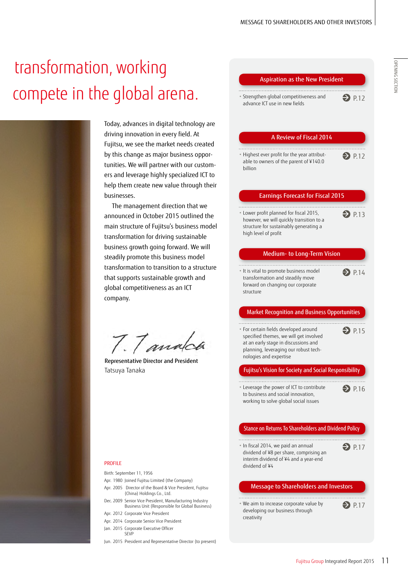# OPENING SECTION OPENING SECTION



Today, advances in digital technology are driving innovation in every field. At Fujitsu, we see the market needs created by this change as major business opportunities. We will partner with our customers and leverage highly specialized ICT to help them create new value through their

The management direction that we announced in October 2015 outlined the main structure of Fujitsu's business model transformation for driving sustainable business growth going forward. We will steadily promote this business model transformation to transition to a structure that supports sustainable growth and global competitiveness as an ICT

7.7 analoa

Representative Director and President Tatsuya Tanaka

#### Aspiration as the New President

# A Review of Fiscal 2014

• Highest ever profit for the year attributable to owners of the parent of ¥140.0 billion  $\bigodot$  P.12

#### Earnings Forecast for Fiscal 2015

• Lower profit planned for fiscal 2015, however, we will quickly transition to a structure for sustainably generating a high level of profit  $\bigcirc$  P.13

#### Medium- to Long-Term Vision

• It is vital to promote business model transformation and steadily move forward on changing our corporate structure  $\bullet$  P.14

#### Market Recognition and Business Opportunities

• For certain fields developed around specified themes, we will get involved at an early stage in discussions and planning, leveraging our robust technologies and expertise

#### Fujitsu's Vision for Society and Social Responsibility

• Leverage the power of ICT to contribute  $\bigodot$  P.16 to business and social innovation, working to solve global social issues

#### Stance on Returns To Shareholders and Dividend Policy

• In fiscal 2014, we paid an annual dividend of ¥8 per share, comprising an interim dividend of ¥4 and a year-end dividend of ¥4  $\bigcirc$  P.17

#### Message to Shareholders and Investors

- • We aim to increase corporate value by developing our business through creativity
- $\bigcirc$  P.17

 $\bigodot$  P.15

- PROFILE
- Birth: September 11, 1956
- Apr. 1980 Joined Fujitsu Limited (the Company)
- Apr. 2005 Director of the Board & Vice President, Fujitsu (China) Holdings Co., Ltd.
- Dec. 2009 Senior Vice President, Manufacturing Industry Business Unit (Responsible for Global Business)
- Apr. 2012 Corporate Vice President Apr. 2014 Corporate Senior Vice President
- Jan. 2015 Corporate Executive Officer
- SEVP
- Jun. 2015 President and Representative Director (to present)

<sup>•</sup> Strengthen global competitiveness and advance ICT use in new fields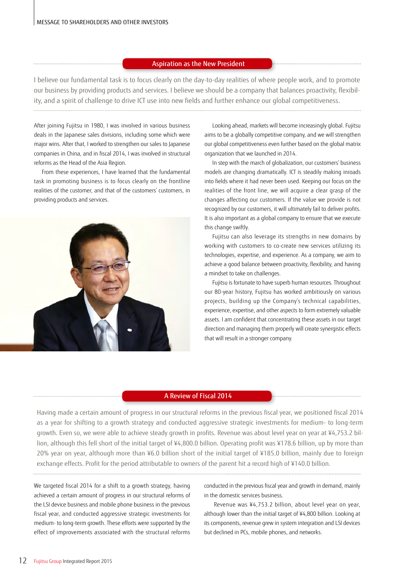#### Aspiration as the New President

I believe our fundamental task is to focus clearly on the day-to-day realities of where people work, and to promote our business by providing products and services. I believe we should be a company that balances proactivity, flexibility, and a spirit of challenge to drive ICT use into new fields and further enhance our global competitiveness.

After joining Fujitsu in 1980, I was involved in various business deals in the Japanese sales divisions, including some which were major wins. After that, I worked to strengthen our sales to Japanese companies in China, and in fiscal 2014, I was involved in structural reforms as the Head of the Asia Region.

From these experiences, I have learned that the fundamental task in promoting business is to focus clearly on the frontline realities of the customer, and that of the customers' customers, in providing products and services.



Looking ahead, markets will become increasingly global. Fujitsu aims to be a globally competitive company, and we will strengthen our global competitiveness even further based on the global matrix organization that we launched in 2014.

In step with the march of globalization, our customers' business models are changing dramatically. ICT is steadily making inroads into fields where it had never been used. Keeping our focus on the realities of the front line, we will acquire a clear grasp of the changes affecting our customers. If the value we provide is not recognized by our customers, it will ultimately fail to deliver profits. It is also important as a global company to ensure that we execute this change swiftly.

Fujitsu can also leverage its strengths in new domains by working with customers to co-create new services utilizing its technologies, expertise, and experience. As a company, we aim to achieve a good balance between proactivity, flexibility, and having a mindset to take on challenges.

Fujitsu is fortunate to have superb human resources. Throughout our 80-year history, Fujitsu has worked ambitiously on various projects, building up the Company's technical capabilities, experience, expertise, and other aspects to form extremely valuable assets. I am confident that concentrating these assets in our target direction and managing them properly will create synergistic effects that will result in a stronger company.

#### A Review of Fiscal 2014

Having made a certain amount of progress in our structural reforms in the previous fiscal year, we positioned fiscal 2014 as a year for shifting to a growth strategy and conducted aggressive strategic investments for medium- to long-term growth. Even so, we were able to achieve steady growth in profits. Revenue was about level year on year at ¥4,753.2 billion, although this fell short of the initial target of ¥4,800.0 billion. Operating profit was ¥178.6 billion, up by more than 20% year on year, although more than ¥6.0 billion short of the initial target of ¥185.0 billion, mainly due to foreign exchange effects. Profit for the period attributable to owners of the parent hit a record high of ¥140.0 billion.

We targeted fiscal 2014 for a shift to a growth strategy, having achieved a certain amount of progress in our structural reforms of the LSI device business and mobile phone business in the previous fiscal year, and conducted aggressive strategic investments for medium- to long-term growth. These efforts were supported by the effect of improvements associated with the structural reforms

conducted in the previous fiscal year and growth in demand, mainly in the domestic services business.

Revenue was ¥4,753.2 billion, about level year on year, although lower than the initial target of ¥4,800 billion. Looking at its components, revenue grew in system integration and LSI devices but declined in PCs, mobile phones, and networks.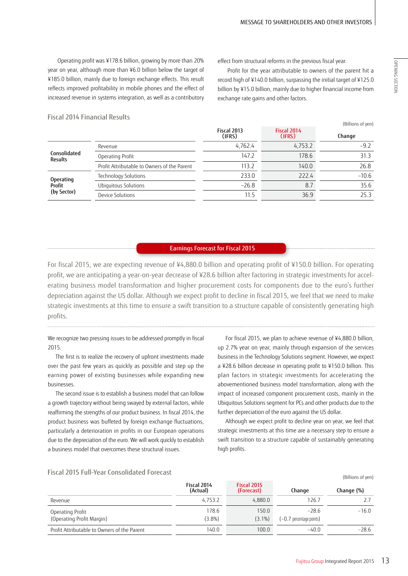Operating profit was ¥178.6 billion, growing by more than 20% year on year, although more than ¥6.0 billion below the target of ¥185.0 billion, mainly due to foreign exchange effects. This result reflects improved profitability in mobile phones and the effect of increased revenue in systems integration, as well as a contributory effect from structural reforms in the previous fiscal year.

Profit for the year attributable to owners of the parent hit a record high of ¥140.0 billion, surpassing the initial target of ¥125.0 billion by ¥15.0 billion, mainly due to higher financial income from exchange rate gains and other factors.

#### Fiscal 2014 Financial Results

|                                             | Fiscal 2013<br>(IFRS) | Fiscal 2014<br>(IFRS) | Change  |
|---------------------------------------------|-----------------------|-----------------------|---------|
| Revenue                                     | 4,762.4               | 4,753.2               | $-9.2$  |
| Operating Profit                            | 147.2                 | 178.6                 | 31.3    |
| Profit Attributable to Owners of the Parent | 113.2                 | 140.0                 | 26.8    |
| Technology Solutions                        | 233.0                 | 222.4                 | $-10.6$ |
| Ubiquitous Solutions                        | $-26.8$               | 8.7                   | 35.6    |
| Device Solutions                            | 11.5                  | 36.9                  | 25.3    |
|                                             |                       |                       |         |

#### Earnings Forecast for Fiscal 2015

For fiscal 2015, we are expecting revenue of ¥4,880.0 billion and operating profit of ¥150.0 billion. For operating profit, we are anticipating a year-on-year decrease of ¥28.6 billion after factoring in strategic investments for accelerating business model transformation and higher procurement costs for components due to the euro's further depreciation against the US dollar. Although we expect profit to decline in fiscal 2015, we feel that we need to make strategic investments at this time to ensure a swift transition to a structure capable of consistently generating high profits.

#### We recognize two pressing issues to be addressed promptly in fiscal 2015.

The first is to realize the recovery of upfront investments made over the past few years as quickly as possible and step up the earning power of existing businesses while expanding new businesses.

The second issue is to establish a business model that can follow a growth trajectory without being swayed by external factors, while reaffirming the strengths of our product business. In fiscal 2014, the product business was buffeted by foreign exchange fluctuations, particularly a deterioration in profits in our European operations due to the depreciation of the euro. We will work quickly to establish a business model that overcomes these structural issues.

For fiscal 2015, we plan to achieve revenue of ¥4,880.0 billion, up 2.7% year on year, mainly through expansion of the services business in the Technology Solutions segment. However, we expect a ¥28.6 billion decrease in operating profit to ¥150.0 billion. This plan factors in strategic investments for accelerating the abovementioned business model transformation, along with the impact of increased component procurement costs, mainly in the Ubiquitous Solutions segment for PCs and other products due to the further depreciation of the euro against the US dollar.

Although we expect profit to decline year on year, we feel that strategic investments at this time are a necessary step to ensure a swift transition to a structure capable of sustainably generating high profits.

### Fiscal 2015 Full-Year Consolidated Forecast

|                                               | Fiscal 2014<br>(Actual) | Fiscal 2015<br>(Forecast) | Change                                 | Change (%) |
|-----------------------------------------------|-------------------------|---------------------------|----------------------------------------|------------|
| Revenue                                       | 4,753.2                 | 4.880.0                   | 126.7                                  |            |
| Operating Profit<br>(Operating Profit Margin) | 178.6<br>$(3.8\%)$      | 150.0<br>$(3.1\%)$        | $-28.6$<br>$(-0.7)$ percentage points) | $-16.0$    |
| Profit Attributable to Owners of the Parent   | 140.0                   | 100.0                     | $-40.0$                                | $-28.6$    |

(Billions of yen)

(Billions of yen)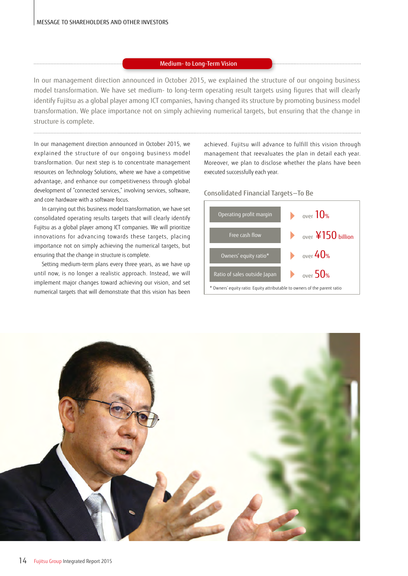#### Medium- to Long-Term Vision

In our management direction announced in October 2015, we explained the structure of our ongoing business model transformation. We have set medium- to long-term operating result targets using figures that will clearly identify Fujitsu as a global player among ICT companies, having changed its structure by promoting business model transformation. We place importance not on simply achieving numerical targets, but ensuring that the change in structure is complete.

In our management direction announced in October 2015, we explained the structure of our ongoing business model transformation. Our next step is to concentrate management resources on Technology Solutions, where we have a competitive advantage, and enhance our competitiveness through global development of "connected services," involving services, software, and core hardware with a software focus.

In carrying out this business model transformation, we have set consolidated operating results targets that will clearly identify Fujitsu as a global player among ICT companies. We will prioritize innovations for advancing towards these targets, placing importance not on simply achieving the numerical targets, but ensuring that the change in structure is complete.

Setting medium-term plans every three years, as we have up until now, is no longer a realistic approach. Instead, we will implement major changes toward achieving our vision, and set numerical targets that will demonstrate that this vision has been achieved. Fujitsu will advance to fulfill this vision through management that reevaluates the plan in detail each year. Moreover, we plan to disclose whether the plans have been executed successfully each year.

#### Consolidated Financial Targets —To Be



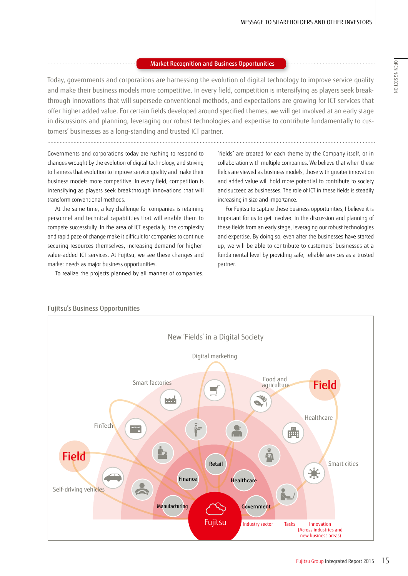### Market Recognition and Business Opportunities

Today, governments and corporations are harnessing the evolution of digital technology to improve service quality and make their business models more competitive. In every field, competition is intensifying as players seek breakthrough innovations that will supersede conventional methods, and expectations are growing for ICT services that offer higher added value. For certain fields developed around specified themes, we will get involved at an early stage in discussions and planning, leveraging our robust technologies and expertise to contribute fundamentally to customers' businesses as a long-standing and trusted ICT partner.

Governments and corporations today are rushing to respond to changes wrought by the evolution of digital technology, and striving to harness that evolution to improve service quality and make their business models more competitive. In every field, competition is intensifying as players seek breakthrough innovations that will transform conventional methods.

At the same time, a key challenge for companies is retaining personnel and technical capabilities that will enable them to compete successfully. In the area of ICT especially, the complexity and rapid pace of change make it difficult for companies to continue securing resources themselves, increasing demand for highervalue-added ICT services. At Fujitsu, we see these changes and market needs as major business opportunities.

To realize the projects planned by all manner of companies,

"fields" are created for each theme by the Company itself, or in collaboration with multiple companies. We believe that when these fields are viewed as business models, those with greater innovation and added value will hold more potential to contribute to society and succeed as businesses. The role of ICT in these fields is steadily increasing in size and importance.

For Fujitsu to capture these business opportunities, I believe it is important for us to get involved in the discussion and planning of these fields from an early stage, leveraging our robust technologies and expertise. By doing so, even after the businesses have started up, we will be able to contribute to customers' businesses at a fundamental level by providing safe, reliable services as a trusted partner.



## Fujitsu's Business Opportunities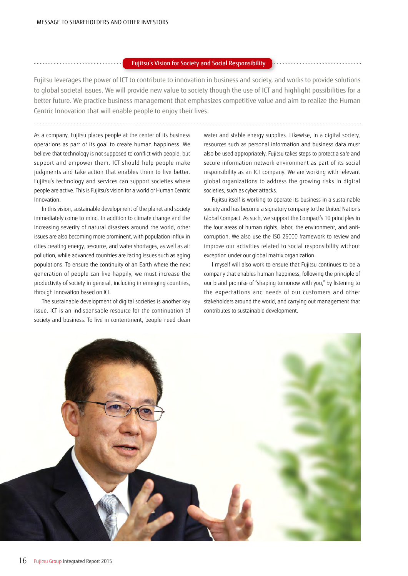#### Fujitsu's Vision for Society and Social Responsibility

Fujitsu leverages the power of ICT to contribute to innovation in business and society, and works to provide solutions to global societal issues. We will provide new value to society though the use of ICT and highlight possibilities for a better future. We practice business management that emphasizes competitive value and aim to realize the Human Centric Innovation that will enable people to enjoy their lives.

As a company, Fujitsu places people at the center of its business operations as part of its goal to create human happiness. We believe that technology is not supposed to conflict with people, but support and empower them. ICT should help people make judgments and take action that enables them to live better. Fujitsu's technology and services can support societies where people are active. This is Fujitsu's vision for a world of Human Centric Innovation.

In this vision, sustainable development of the planet and society immediately come to mind. In addition to climate change and the increasing severity of natural disasters around the world, other issues are also becoming more prominent, with population influx in cities creating energy, resource, and water shortages, as well as air pollution, while advanced countries are facing issues such as aging populations. To ensure the continuity of an Earth where the next generation of people can live happily, we must increase the productivity of society in general, including in emerging countries, through innovation based on ICT.

The sustainable development of digital societies is another key issue. ICT is an indispensable resource for the continuation of society and business. To live in contentment, people need clean

water and stable energy supplies. Likewise, in a digital society, resources such as personal information and business data must also be used appropriately. Fujitsu takes steps to protect a safe and secure information network environment as part of its social responsibility as an ICT company. We are working with relevant global organizations to address the growing risks in digital societies, such as cyber attacks.

Fujitsu itself is working to operate its business in a sustainable society and has become a signatory company to the United Nations Global Compact. As such, we support the Compact's 10 principles in the four areas of human rights, labor, the environment, and anticorruption. We also use the ISO 26000 framework to review and improve our activities related to social responsibility without exception under our global matrix organization.

I myself will also work to ensure that Fujitsu continues to be a company that enables human happiness, following the principle of our brand promise of "shaping tomorrow with you," by listening to the expectations and needs of our customers and other stakeholders around the world, and carrying out management that contributes to sustainable development.